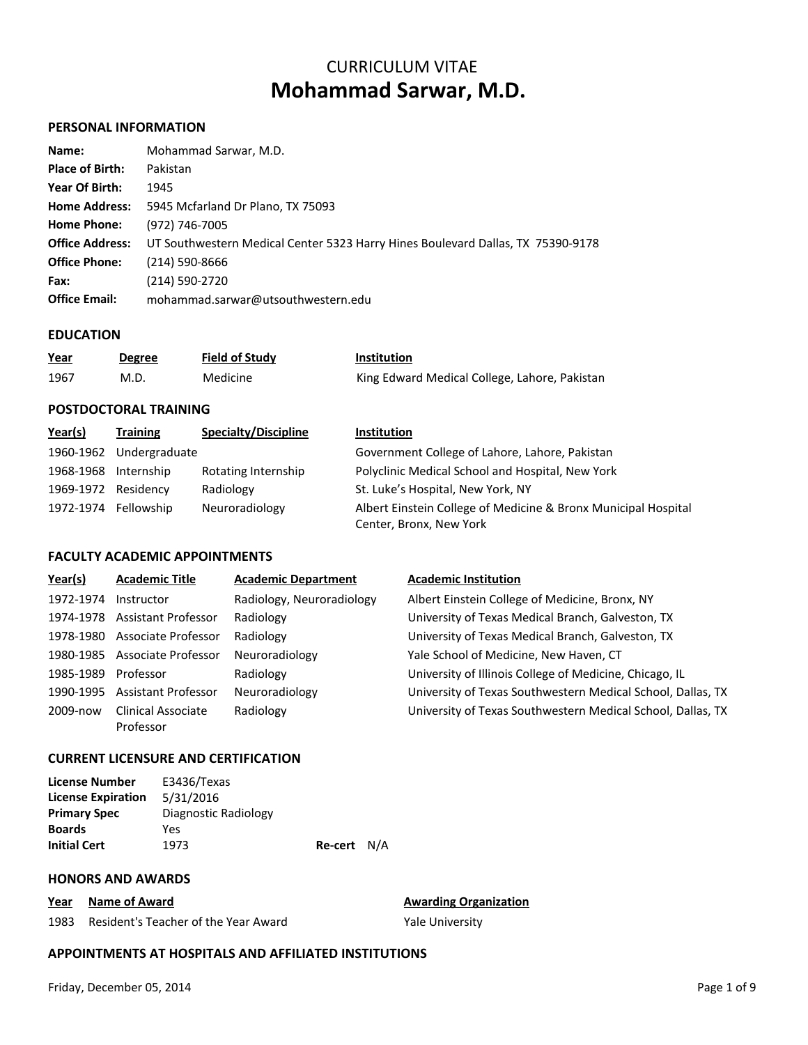# CURRICULUM VITAE **Mohammad Sarwar, M.D.**

### **PERSONAL INFORMATION**

| Name:                  | Mohammad Sarwar, M.D.                                                           |
|------------------------|---------------------------------------------------------------------------------|
| <b>Place of Birth:</b> | Pakistan                                                                        |
| Year Of Birth:         | 1945                                                                            |
| <b>Home Address:</b>   | 5945 Mcfarland Dr Plano, TX 75093                                               |
| <b>Home Phone:</b>     | (972) 746-7005                                                                  |
| <b>Office Address:</b> | UT Southwestern Medical Center 5323 Harry Hines Boulevard Dallas, TX 75390-9178 |
| <b>Office Phone:</b>   | (214) 590-8666                                                                  |
| Fax:                   | (214) 590-2720                                                                  |
| <b>Office Email:</b>   | mohammad.sarwar@utsouthwestern.edu                                              |

#### **EDUCATION**

| <u>Year</u> | <b>Degree</b> | <b>Field of Study</b> | <b>Institution</b>                            |
|-------------|---------------|-----------------------|-----------------------------------------------|
| 1967        | M.D.          | Medicine              | King Edward Medical College, Lahore, Pakistan |

# **POSTDOCTORAL TRAINING**

| Year(s)              | <b>Training</b>      | <b>Specialty/Discipline</b> | <b>Institution</b>                                                                        |  |
|----------------------|----------------------|-----------------------------|-------------------------------------------------------------------------------------------|--|
| 1960-1962            | Undergraduate        |                             | Government College of Lahore, Lahore, Pakistan                                            |  |
| 1968-1968 Internship |                      | Rotating Internship         | Polyclinic Medical School and Hospital, New York                                          |  |
| 1969-1972 Residency  |                      | Radiology                   | St. Luke's Hospital, New York, NY                                                         |  |
|                      | 1972-1974 Fellowship | Neuroradiology              | Albert Einstein College of Medicine & Bronx Municipal Hospital<br>Center, Bronx, New York |  |

# **FACULTY ACADEMIC APPOINTMENTS**

| Year(s)   | <b>Academic Title</b>           | <b>Academic Department</b> | <b>Academic Institution</b>                                 |
|-----------|---------------------------------|----------------------------|-------------------------------------------------------------|
| 1972-1974 | Instructor                      | Radiology, Neuroradiology  | Albert Einstein College of Medicine, Bronx, NY              |
| 1974-1978 | <b>Assistant Professor</b>      | Radiology                  | University of Texas Medical Branch, Galveston, TX           |
| 1978-1980 | Associate Professor             | Radiology                  | University of Texas Medical Branch, Galveston, TX           |
| 1980-1985 | Associate Professor             | Neuroradiology             | Yale School of Medicine, New Haven, CT                      |
| 1985-1989 | Professor                       | Radiology                  | University of Illinois College of Medicine, Chicago, IL     |
| 1990-1995 | <b>Assistant Professor</b>      | Neuroradiology             | University of Texas Southwestern Medical School, Dallas, TX |
| 2009-now  | Clinical Associate<br>Professor | Radiology                  | University of Texas Southwestern Medical School, Dallas, TX |

#### **CURRENT LICENSURE AND CERTIFICATION**

| License Number            | E3436/Texas          |             |  |
|---------------------------|----------------------|-------------|--|
| <b>License Expiration</b> | 5/31/2016            |             |  |
| <b>Primary Spec</b>       | Diagnostic Radiology |             |  |
| <b>Boards</b>             | Yes                  |             |  |
| <b>Initial Cert</b>       | 1973                 | Re-cert N/A |  |
|                           |                      |             |  |

### **HONORS AND AWARDS**

**Year Name of Award Awarding Organization** 

1983 Resident's Teacher of the Year Award Yale University

# **APPOINTMENTS AT HOSPITALS AND AFFILIATED INSTITUTIONS**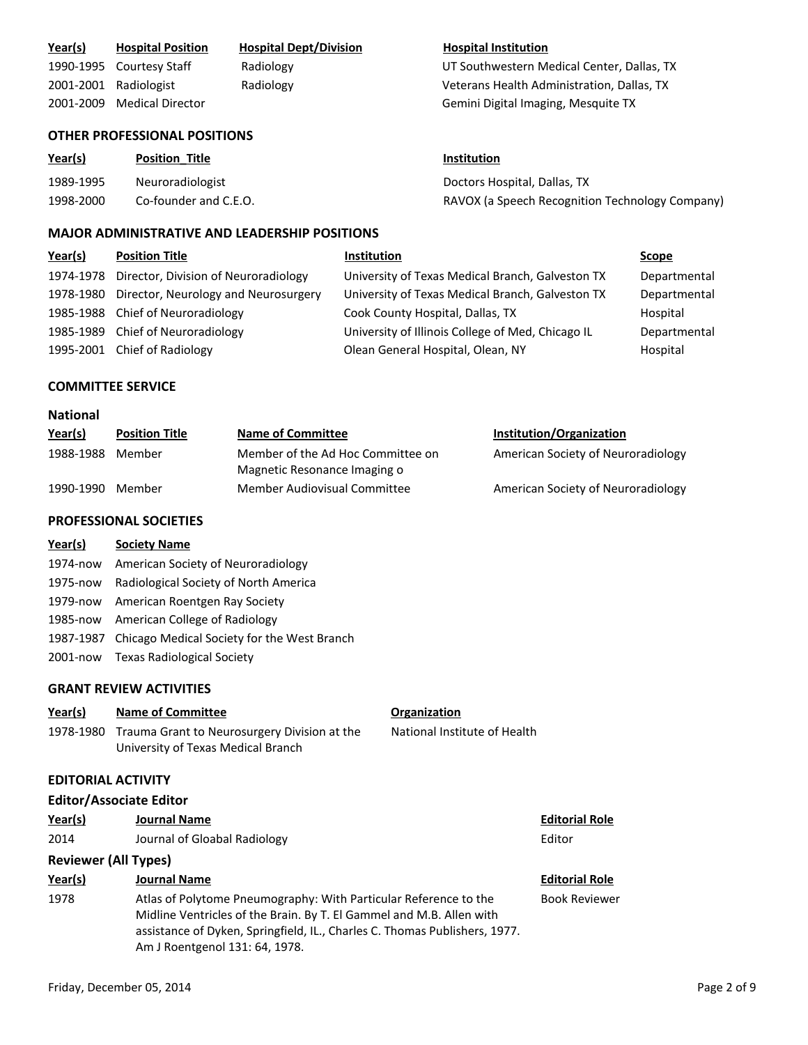| Year(s)         | <b>Hospital Position</b>                             | <b>Hospital Dept/Division</b> |                                   | <b>Hospital Institution</b>                       |              |
|-----------------|------------------------------------------------------|-------------------------------|-----------------------------------|---------------------------------------------------|--------------|
| 1990-1995       | <b>Courtesy Staff</b>                                | Radiology                     |                                   | UT Southwestern Medical Center, Dallas, TX        |              |
|                 | 2001-2001 Radiologist                                | Radiology                     |                                   | Veterans Health Administration, Dallas, TX        |              |
| 2001-2009       | <b>Medical Director</b>                              |                               |                                   | Gemini Digital Imaging, Mesquite TX               |              |
|                 | <b>OTHER PROFESSIONAL POSITIONS</b>                  |                               |                                   |                                                   |              |
| Year(s)         | <b>Position Title</b>                                |                               |                                   | <u>Institution</u>                                |              |
| 1989-1995       | Neuroradiologist                                     |                               |                                   | Doctors Hospital, Dallas, TX                      |              |
| 1998-2000       | Co-founder and C.E.O.                                |                               |                                   | RAVOX (a Speech Recognition Technology Company)   |              |
|                 | <b>MAJOR ADMINISTRATIVE AND LEADERSHIP POSITIONS</b> |                               |                                   |                                                   |              |
| Year(s)         | <b>Position Title</b>                                |                               | Institution                       |                                                   | Scope        |
|                 | 1974-1978 Director, Division of Neuroradiology       |                               |                                   | University of Texas Medical Branch, Galveston TX  | Departmental |
| 1978-1980       | Director, Neurology and Neurosurgery                 |                               |                                   | University of Texas Medical Branch, Galveston TX  | Departmental |
| 1985-1988       | Chief of Neuroradiology                              |                               | Cook County Hospital, Dallas, TX  |                                                   | Hospital     |
| 1985-1989       | Chief of Neuroradiology                              |                               |                                   | University of Illinois College of Med, Chicago IL | Departmental |
|                 | 1995-2001 Chief of Radiology                         |                               | Olean General Hospital, Olean, NY |                                                   | Hospital     |
|                 | <b>COMMITTEE SERVICE</b>                             |                               |                                   |                                                   |              |
| <b>National</b> |                                                      |                               |                                   |                                                   |              |
| Year(s)         | <b>Position Title</b>                                | <b>Name of Committee</b>      |                                   | Institution/Organization                          |              |
| 1988-1988       | Member                                               | Magnetic Resonance Imaging o  | Member of the Ad Hoc Committee on | American Society of Neuroradiology                |              |
| 1990-1990       | Member                                               | Member Audiovisual Committee  |                                   | American Society of Neuroradiology                |              |
|                 | <b>PROFESSIONAL SOCIETIES</b>                        |                               |                                   |                                                   |              |
| Year(s)         | <b>Society Name</b>                                  |                               |                                   |                                                   |              |
| 1974-now        | American Society of Neuroradiology                   |                               |                                   |                                                   |              |
| 1975-now        | Radiological Society of North America                |                               |                                   |                                                   |              |
| 1979-now        | American Roentgen Ray Society                        |                               |                                   |                                                   |              |
| 1985-now        | American College of Radiology                        |                               |                                   |                                                   |              |
| 1987-1987       | Chicago Medical Society for the West Branch          |                               |                                   |                                                   |              |
| 2001-now        | <b>Texas Radiological Society</b>                    |                               |                                   |                                                   |              |
|                 | <b>GRANT REVIEW ACTIVITIES</b>                       |                               |                                   |                                                   |              |
|                 |                                                      |                               |                                   |                                                   |              |

| Year(s) | <b>Name of Committee</b>                               |
|---------|--------------------------------------------------------|
|         | 1978-1980 Trauma Grant to Neurosurgery Division at the |
|         | University of Texas Medical Branch                     |

#### **EDITORIAL ACTIVITY**

#### **Editor/Associate Editor**

| Year(s)                     | <b>Journal Name</b>          | Editor |
|-----------------------------|------------------------------|--------|
| 2014                        | Journal of Gloabal Radiology | Editor |
| <b>Reviewer (All Types)</b> |                              |        |
|                             |                              |        |

# **Year(s) Journal Name Editorial Role** 1978 Atlas of Polytome Pneumography: With Particular Reference to the Midline Ventricles of the Brain. By T. El Gammel and M.B. Allen with assistance of Dyken, Springfield, IL., Charles C. Thomas Publishers, 1977. Am J Roentgenol 131: 64, 1978.

National Institute of Health

**Organization** 

**Editorial Role** 

Book Reviewer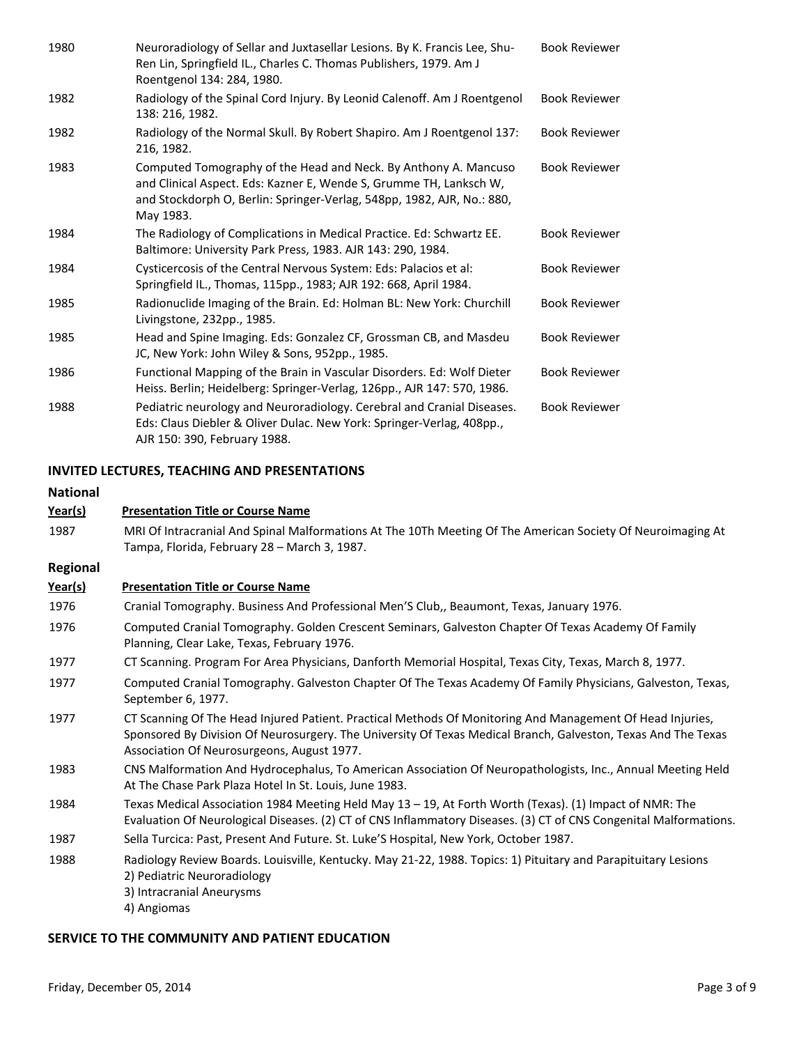| 1980 | Neuroradiology of Sellar and Juxtasellar Lesions. By K. Francis Lee, Shu-<br>Ren Lin, Springfield IL., Charles C. Thomas Publishers, 1979. Am J<br>Roentgenol 134: 284, 1980.                                                | <b>Book Reviewer</b> |
|------|------------------------------------------------------------------------------------------------------------------------------------------------------------------------------------------------------------------------------|----------------------|
| 1982 | Radiology of the Spinal Cord Injury. By Leonid Calenoff. Am J Roentgenol<br>138: 216, 1982.                                                                                                                                  | <b>Book Reviewer</b> |
| 1982 | Radiology of the Normal Skull. By Robert Shapiro. Am J Roentgenol 137:<br>216, 1982.                                                                                                                                         | <b>Book Reviewer</b> |
| 1983 | Computed Tomography of the Head and Neck. By Anthony A. Mancuso<br>and Clinical Aspect. Eds: Kazner E, Wende S, Grumme TH, Lanksch W,<br>and Stockdorph O, Berlin: Springer-Verlag, 548pp, 1982, AJR, No.: 880,<br>May 1983. | <b>Book Reviewer</b> |
| 1984 | The Radiology of Complications in Medical Practice. Ed: Schwartz EE.<br>Baltimore: University Park Press, 1983. AJR 143: 290, 1984.                                                                                          | <b>Book Reviewer</b> |
| 1984 | Cysticercosis of the Central Nervous System: Eds: Palacios et al:<br>Springfield IL., Thomas, 115pp., 1983; AJR 192: 668, April 1984.                                                                                        | <b>Book Reviewer</b> |
| 1985 | Radionuclide Imaging of the Brain. Ed: Holman BL: New York: Churchill<br>Livingstone, 232pp., 1985.                                                                                                                          | <b>Book Reviewer</b> |
| 1985 | Head and Spine Imaging. Eds: Gonzalez CF, Grossman CB, and Masdeu<br>JC, New York: John Wiley & Sons, 952pp., 1985.                                                                                                          | <b>Book Reviewer</b> |
| 1986 | Functional Mapping of the Brain in Vascular Disorders. Ed: Wolf Dieter<br>Heiss. Berlin; Heidelberg: Springer-Verlag, 126pp., AJR 147: 570, 1986.                                                                            | <b>Book Reviewer</b> |
| 1988 | Pediatric neurology and Neuroradiology. Cerebral and Cranial Diseases.<br>Eds: Claus Diebler & Oliver Dulac. New York: Springer-Verlag, 408pp.,<br>AJR 150: 390, February 1988.                                              | <b>Book Reviewer</b> |

#### **INVITED LECTURES, TEACHING AND PRESENTATIONS**

# **Year(s) Presentation Title or Course Name National** 1987 MRI Of Intracranial And Spinal Malformations At The 10Th Meeting Of The American Society Of Neuroimaging At Tampa, Florida, February 28 – March 3, 1987. **Year(s) Presentation Title or Course Name Regional** 1976 Cranial Tomography. Business And Professional Men'S Club,, Beaumont, Texas, January 1976. 1976 Computed Cranial Tomography. Golden Crescent Seminars, Galveston Chapter Of Texas Academy Of Family Planning, Clear Lake, Texas, February 1976. 1977 CT Scanning. Program For Area Physicians, Danforth Memorial Hospital, Texas City, Texas, March 8, 1977. 1977 Computed Cranial Tomography. Galveston Chapter Of The Texas Academy Of Family Physicians, Galveston, Texas, September 6, 1977. 1977 CT Scanning Of The Head Injured Patient. Practical Methods Of Monitoring And Management Of Head Injuries, Sponsored By Division Of Neurosurgery. The University Of Texas Medical Branch, Galveston, Texas And The Texas Association Of Neurosurgeons, August 1977. 1983 CNS Malformation And Hydrocephalus, To American Association Of Neuropathologists, Inc., Annual Meeting Held At The Chase Park Plaza Hotel In St. Louis, June 1983. 1984 Texas Medical Association 1984 Meeting Held May 13 – 19, At Forth Worth (Texas). (1) Impact of NMR: The Evaluation Of Neurological Diseases. (2) CT of CNS Inflammatory Diseases. (3) CT of CNS Congenital Malformations. 1987 Sella Turcica: Past, Present And Future. St. Luke'S Hospital, New York, October 1987. 1988 Radiology Review Boards. Louisville, Kentucky. May 21-22, 1988. Topics: 1) Pituitary and Parapituitary Lesions 2) Pediatric Neuroradiology 3) Intracranial Aneurysms 4) Angiomas

#### **SERVICE TO THE COMMUNITY AND PATIENT EDUCATION**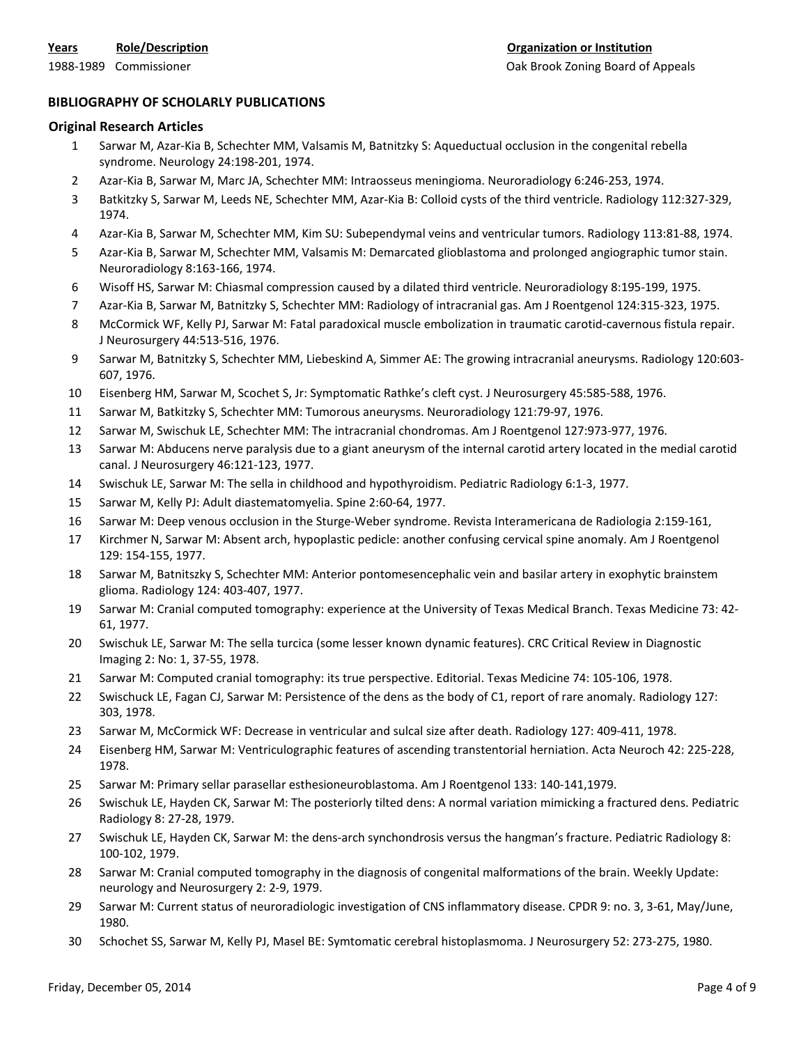### **BIBLIOGRAPHY OF SCHOLARLY PUBLICATIONS**

#### **Original Research Articles**

- 1 Sarwar M, Azar-Kia B, Schechter MM, Valsamis M, Batnitzky S: Aqueductual occlusion in the congenital rebella syndrome. Neurology 24:198-201, 1974.
- 2 Azar-Kia B, Sarwar M, Marc JA, Schechter MM: Intraosseus meningioma. Neuroradiology 6:246-253, 1974.
- 3 Batkitzky S, Sarwar M, Leeds NE, Schechter MM, Azar-Kia B: Colloid cysts of the third ventricle. Radiology 112:327-329, 1974.
- 4 Azar-Kia B, Sarwar M, Schechter MM, Kim SU: Subependymal veins and ventricular tumors. Radiology 113:81-88, 1974.
- 5 Azar-Kia B, Sarwar M, Schechter MM, Valsamis M: Demarcated glioblastoma and prolonged angiographic tumor stain. Neuroradiology 8:163-166, 1974.
- 6 Wisoff HS, Sarwar M: Chiasmal compression caused by a dilated third ventricle. Neuroradiology 8:195-199, 1975.
- 7 Azar-Kia B, Sarwar M, Batnitzky S, Schechter MM: Radiology of intracranial gas. Am J Roentgenol 124:315-323, 1975.
- 8 McCormick WF, Kelly PJ, Sarwar M: Fatal paradoxical muscle embolization in traumatic carotid-cavernous fistula repair. J Neurosurgery 44:513-516, 1976.
- 9 Sarwar M, Batnitzky S, Schechter MM, Liebeskind A, Simmer AE: The growing intracranial aneurysms. Radiology 120:603- 607, 1976.
- 10 Eisenberg HM, Sarwar M, Scochet S, Jr: Symptomatic Rathke's cleft cyst. J Neurosurgery 45:585-588, 1976.
- 11 Sarwar M, Batkitzky S, Schechter MM: Tumorous aneurysms. Neuroradiology 121:79-97, 1976.
- 12 Sarwar M, Swischuk LE, Schechter MM: The intracranial chondromas. Am J Roentgenol 127:973-977, 1976.
- 13 Sarwar M: Abducens nerve paralysis due to a giant aneurysm of the internal carotid artery located in the medial carotid canal. J Neurosurgery 46:121-123, 1977.
- 14 Swischuk LE, Sarwar M: The sella in childhood and hypothyroidism. Pediatric Radiology 6:1-3, 1977.
- 15 Sarwar M, Kelly PJ: Adult diastematomyelia. Spine 2:60-64, 1977.
- 16 Sarwar M: Deep venous occlusion in the Sturge-Weber syndrome. Revista Interamericana de Radiologia 2:159-161,
- 17 Kirchmer N, Sarwar M: Absent arch, hypoplastic pedicle: another confusing cervical spine anomaly. Am J Roentgenol 129: 154-155, 1977.
- 18 Sarwar M, Batnitszky S, Schechter MM: Anterior pontomesencephalic vein and basilar artery in exophytic brainstem glioma. Radiology 124: 403-407, 1977.
- 19 Sarwar M: Cranial computed tomography: experience at the University of Texas Medical Branch. Texas Medicine 73: 42- 61, 1977.
- 20 Swischuk LE, Sarwar M: The sella turcica (some lesser known dynamic features). CRC Critical Review in Diagnostic Imaging 2: No: 1, 37-55, 1978.
- 21 Sarwar M: Computed cranial tomography: its true perspective. Editorial. Texas Medicine 74: 105-106, 1978.
- 22 Swischuck LE, Fagan CJ, Sarwar M: Persistence of the dens as the body of C1, report of rare anomaly. Radiology 127: 303, 1978.
- 23 Sarwar M, McCormick WF: Decrease in ventricular and sulcal size after death. Radiology 127: 409-411, 1978.
- 24 Eisenberg HM, Sarwar M: Ventriculographic features of ascending transtentorial herniation. Acta Neuroch 42: 225-228, 1978.
- 25 Sarwar M: Primary sellar parasellar esthesioneuroblastoma. Am J Roentgenol 133: 140-141,1979.
- 26 Swischuk LE, Hayden CK, Sarwar M: The posteriorly tilted dens: A normal variation mimicking a fractured dens. Pediatric Radiology 8: 27-28, 1979.
- 27 Swischuk LE, Hayden CK, Sarwar M: the dens-arch synchondrosis versus the hangman's fracture. Pediatric Radiology 8: 100-102, 1979.
- 28 Sarwar M: Cranial computed tomography in the diagnosis of congenital malformations of the brain. Weekly Update: neurology and Neurosurgery 2: 2-9, 1979.
- 29 Sarwar M: Current status of neuroradiologic investigation of CNS inflammatory disease. CPDR 9: no. 3, 3-61, May/June, 1980.
- 30 Schochet SS, Sarwar M, Kelly PJ, Masel BE: Symtomatic cerebral histoplasmoma. J Neurosurgery 52: 273-275, 1980.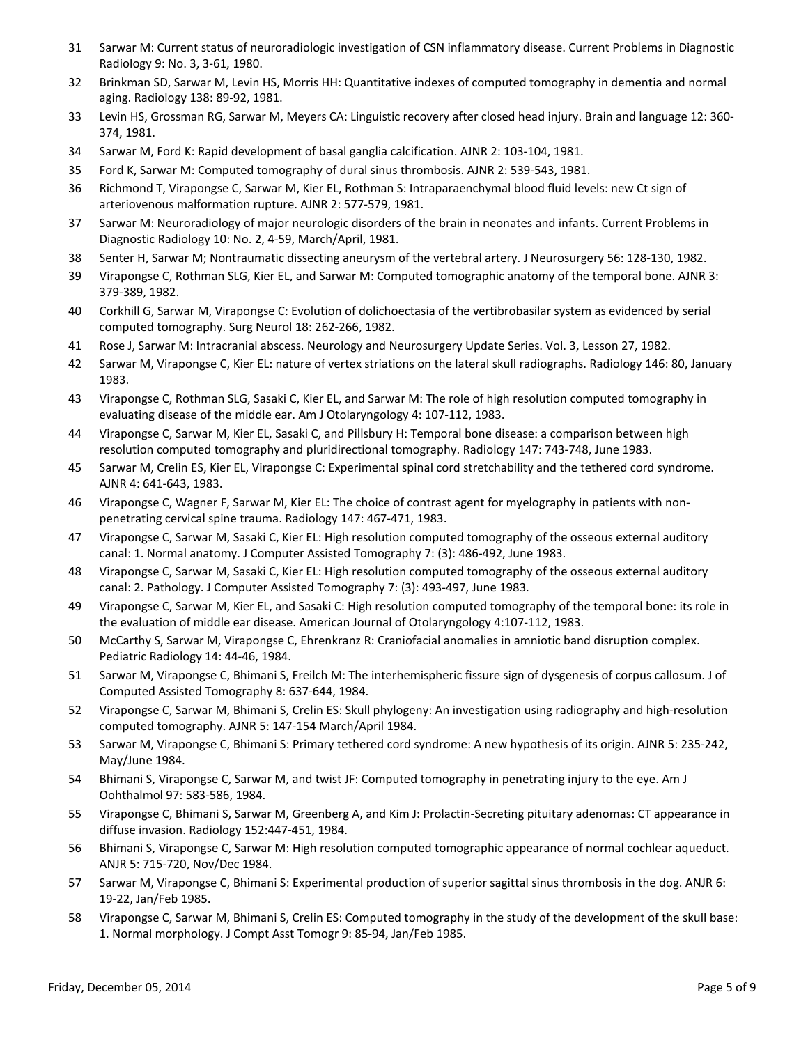- 31 Sarwar M: Current status of neuroradiologic investigation of CSN inflammatory disease. Current Problems in Diagnostic Radiology 9: No. 3, 3-61, 1980.
- 32 Brinkman SD, Sarwar M, Levin HS, Morris HH: Quantitative indexes of computed tomography in dementia and normal aging. Radiology 138: 89-92, 1981.
- 33 Levin HS, Grossman RG, Sarwar M, Meyers CA: Linguistic recovery after closed head injury. Brain and language 12: 360- 374, 1981.
- 34 Sarwar M, Ford K: Rapid development of basal ganglia calcification. AJNR 2: 103-104, 1981.
- 35 Ford K, Sarwar M: Computed tomography of dural sinus thrombosis. AJNR 2: 539-543, 1981.
- 36 Richmond T, Virapongse C, Sarwar M, Kier EL, Rothman S: Intraparaenchymal blood fluid levels: new Ct sign of arteriovenous malformation rupture. AJNR 2: 577-579, 1981.
- 37 Sarwar M: Neuroradiology of major neurologic disorders of the brain in neonates and infants. Current Problems in Diagnostic Radiology 10: No. 2, 4-59, March/April, 1981.
- 38 Senter H, Sarwar M; Nontraumatic dissecting aneurysm of the vertebral artery. J Neurosurgery 56: 128-130, 1982.
- 39 Virapongse C, Rothman SLG, Kier EL, and Sarwar M: Computed tomographic anatomy of the temporal bone. AJNR 3: 379-389, 1982.
- 40 Corkhill G, Sarwar M, Virapongse C: Evolution of dolichoectasia of the vertibrobasilar system as evidenced by serial computed tomography. Surg Neurol 18: 262-266, 1982.
- 41 Rose J, Sarwar M: Intracranial abscess. Neurology and Neurosurgery Update Series. Vol. 3, Lesson 27, 1982.
- 42 Sarwar M, Virapongse C, Kier EL: nature of vertex striations on the lateral skull radiographs. Radiology 146: 80, January 1983.
- 43 Virapongse C, Rothman SLG, Sasaki C, Kier EL, and Sarwar M: The role of high resolution computed tomography in evaluating disease of the middle ear. Am J Otolaryngology 4: 107-112, 1983.
- 44 Virapongse C, Sarwar M, Kier EL, Sasaki C, and Pillsbury H: Temporal bone disease: a comparison between high resolution computed tomography and pluridirectional tomography. Radiology 147: 743-748, June 1983.
- 45 Sarwar M, Crelin ES, Kier EL, Virapongse C: Experimental spinal cord stretchability and the tethered cord syndrome. AJNR 4: 641-643, 1983.
- 46 Virapongse C, Wagner F, Sarwar M, Kier EL: The choice of contrast agent for myelography in patients with nonpenetrating cervical spine trauma. Radiology 147: 467-471, 1983.
- 47 Virapongse C, Sarwar M, Sasaki C, Kier EL: High resolution computed tomography of the osseous external auditory canal: 1. Normal anatomy. J Computer Assisted Tomography 7: (3): 486-492, June 1983.
- 48 Virapongse C, Sarwar M, Sasaki C, Kier EL: High resolution computed tomography of the osseous external auditory canal: 2. Pathology. J Computer Assisted Tomography 7: (3): 493-497, June 1983.
- 49 Virapongse C, Sarwar M, Kier EL, and Sasaki C: High resolution computed tomography of the temporal bone: its role in the evaluation of middle ear disease. American Journal of Otolaryngology 4:107-112, 1983.
- 50 McCarthy S, Sarwar M, Virapongse C, Ehrenkranz R: Craniofacial anomalies in amniotic band disruption complex. Pediatric Radiology 14: 44-46, 1984.
- 51 Sarwar M, Virapongse C, Bhimani S, Freilch M: The interhemispheric fissure sign of dysgenesis of corpus callosum. J of Computed Assisted Tomography 8: 637-644, 1984.
- 52 Virapongse C, Sarwar M, Bhimani S, Crelin ES: Skull phylogeny: An investigation using radiography and high-resolution computed tomography. AJNR 5: 147-154 March/April 1984.
- 53 Sarwar M, Virapongse C, Bhimani S: Primary tethered cord syndrome: A new hypothesis of its origin. AJNR 5: 235-242, May/June 1984.
- 54 Bhimani S, Virapongse C, Sarwar M, and twist JF: Computed tomography in penetrating injury to the eye. Am J Oohthalmol 97: 583-586, 1984.
- 55 Virapongse C, Bhimani S, Sarwar M, Greenberg A, and Kim J: Prolactin-Secreting pituitary adenomas: CT appearance in diffuse invasion. Radiology 152:447-451, 1984.
- 56 Bhimani S, Virapongse C, Sarwar M: High resolution computed tomographic appearance of normal cochlear aqueduct. ANJR 5: 715-720, Nov/Dec 1984.
- 57 Sarwar M, Virapongse C, Bhimani S: Experimental production of superior sagittal sinus thrombosis in the dog. ANJR 6: 19-22, Jan/Feb 1985.
- 58 Virapongse C, Sarwar M, Bhimani S, Crelin ES: Computed tomography in the study of the development of the skull base: 1. Normal morphology. J Compt Asst Tomogr 9: 85-94, Jan/Feb 1985.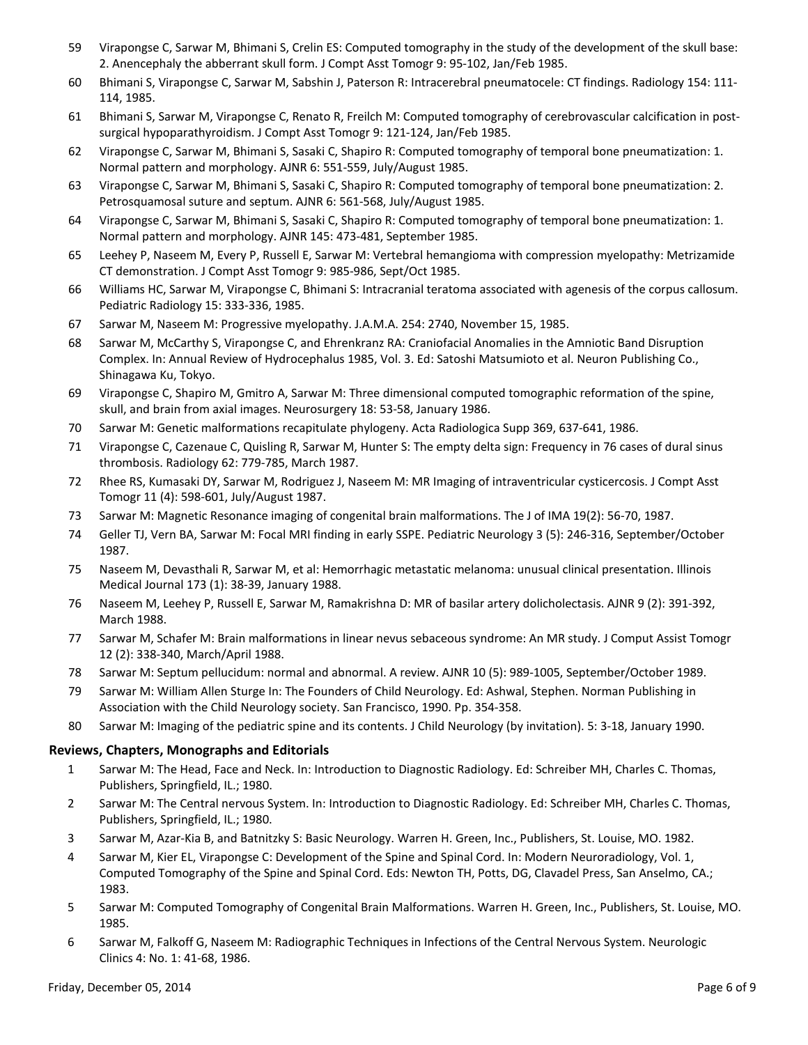- 59 Virapongse C, Sarwar M, Bhimani S, Crelin ES: Computed tomography in the study of the development of the skull base: 2. Anencephaly the abberrant skull form. J Compt Asst Tomogr 9: 95-102, Jan/Feb 1985.
- 60 Bhimani S, Virapongse C, Sarwar M, Sabshin J, Paterson R: Intracerebral pneumatocele: CT findings. Radiology 154: 111- 114, 1985.
- 61 Bhimani S, Sarwar M, Virapongse C, Renato R, Freilch M: Computed tomography of cerebrovascular calcification in postsurgical hypoparathyroidism. J Compt Asst Tomogr 9: 121-124, Jan/Feb 1985.
- 62 Virapongse C, Sarwar M, Bhimani S, Sasaki C, Shapiro R: Computed tomography of temporal bone pneumatization: 1. Normal pattern and morphology. AJNR 6: 551-559, July/August 1985.
- 63 Virapongse C, Sarwar M, Bhimani S, Sasaki C, Shapiro R: Computed tomography of temporal bone pneumatization: 2. Petrosquamosal suture and septum. AJNR 6: 561-568, July/August 1985.
- 64 Virapongse C, Sarwar M, Bhimani S, Sasaki C, Shapiro R: Computed tomography of temporal bone pneumatization: 1. Normal pattern and morphology. AJNR 145: 473-481, September 1985.
- 65 Leehey P, Naseem M, Every P, Russell E, Sarwar M: Vertebral hemangioma with compression myelopathy: Metrizamide CT demonstration. J Compt Asst Tomogr 9: 985-986, Sept/Oct 1985.
- 66 Williams HC, Sarwar M, Virapongse C, Bhimani S: Intracranial teratoma associated with agenesis of the corpus callosum. Pediatric Radiology 15: 333-336, 1985.
- 67 Sarwar M, Naseem M: Progressive myelopathy. J.A.M.A. 254: 2740, November 15, 1985.
- 68 Sarwar M, McCarthy S, Virapongse C, and Ehrenkranz RA: Craniofacial Anomalies in the Amniotic Band Disruption Complex. In: Annual Review of Hydrocephalus 1985, Vol. 3. Ed: Satoshi Matsumioto et al. Neuron Publishing Co., Shinagawa Ku, Tokyo.
- 69 Virapongse C, Shapiro M, Gmitro A, Sarwar M: Three dimensional computed tomographic reformation of the spine, skull, and brain from axial images. Neurosurgery 18: 53-58, January 1986.
- 70 Sarwar M: Genetic malformations recapitulate phylogeny. Acta Radiologica Supp 369, 637-641, 1986.
- 71 Virapongse C, Cazenaue C, Quisling R, Sarwar M, Hunter S: The empty delta sign: Frequency in 76 cases of dural sinus thrombosis. Radiology 62: 779-785, March 1987.
- 72 Rhee RS, Kumasaki DY, Sarwar M, Rodriguez J, Naseem M: MR Imaging of intraventricular cysticercosis. J Compt Asst Tomogr 11 (4): 598-601, July/August 1987.
- 73 Sarwar M: Magnetic Resonance imaging of congenital brain malformations. The J of IMA 19(2): 56-70, 1987.
- 74 Geller TJ, Vern BA, Sarwar M: Focal MRI finding in early SSPE. Pediatric Neurology 3 (5): 246-316, September/October 1987.
- 75 Naseem M, Devasthali R, Sarwar M, et al: Hemorrhagic metastatic melanoma: unusual clinical presentation. Illinois Medical Journal 173 (1): 38-39, January 1988.
- 76 Naseem M, Leehey P, Russell E, Sarwar M, Ramakrishna D: MR of basilar artery dolicholectasis. AJNR 9 (2): 391-392, March 1988.
- 77 Sarwar M, Schafer M: Brain malformations in linear nevus sebaceous syndrome: An MR study. J Comput Assist Tomogr 12 (2): 338-340, March/April 1988.
- 78 Sarwar M: Septum pellucidum: normal and abnormal. A review. AJNR 10 (5): 989-1005, September/October 1989.
- 79 Sarwar M: William Allen Sturge In: The Founders of Child Neurology. Ed: Ashwal, Stephen. Norman Publishing in Association with the Child Neurology society. San Francisco, 1990. Pp. 354-358.
- 80 Sarwar M: Imaging of the pediatric spine and its contents. J Child Neurology (by invitation). 5: 3-18, January 1990.

# **Reviews, Chapters, Monographs and Editorials**

- 1 Sarwar M: The Head, Face and Neck. In: Introduction to Diagnostic Radiology. Ed: Schreiber MH, Charles C. Thomas, Publishers, Springfield, IL.; 1980.
- 2 Sarwar M: The Central nervous System. In: Introduction to Diagnostic Radiology. Ed: Schreiber MH, Charles C. Thomas, Publishers, Springfield, IL.; 1980.
- 3 Sarwar M, Azar-Kia B, and Batnitzky S: Basic Neurology. Warren H. Green, Inc., Publishers, St. Louise, MO. 1982.
- 4 Sarwar M, Kier EL, Virapongse C: Development of the Spine and Spinal Cord. In: Modern Neuroradiology, Vol. 1, Computed Tomography of the Spine and Spinal Cord. Eds: Newton TH, Potts, DG, Clavadel Press, San Anselmo, CA.; 1983.
- 5 Sarwar M: Computed Tomography of Congenital Brain Malformations. Warren H. Green, Inc., Publishers, St. Louise, MO. 1985.
- 6 Sarwar M, Falkoff G, Naseem M: Radiographic Techniques in Infections of the Central Nervous System. Neurologic Clinics 4: No. 1: 41-68, 1986.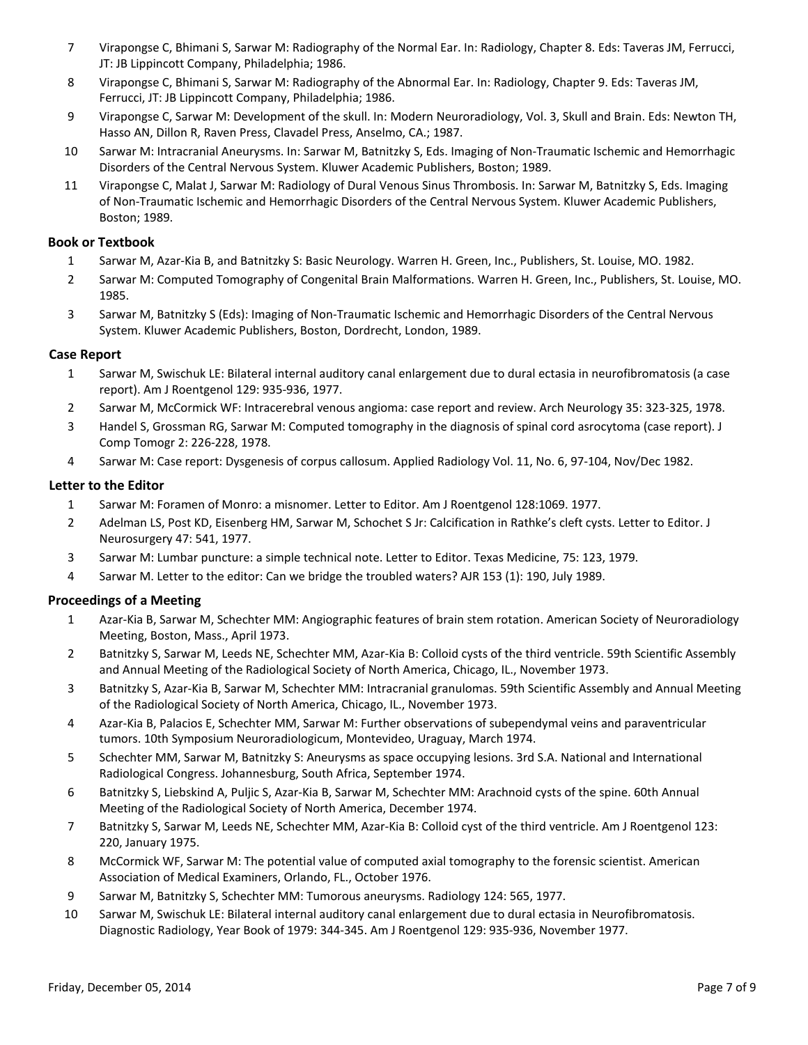- 7 Virapongse C, Bhimani S, Sarwar M: Radiography of the Normal Ear. In: Radiology, Chapter 8. Eds: Taveras JM, Ferrucci, JT: JB Lippincott Company, Philadelphia; 1986.
- 8 Virapongse C, Bhimani S, Sarwar M: Radiography of the Abnormal Ear. In: Radiology, Chapter 9. Eds: Taveras JM, Ferrucci, JT: JB Lippincott Company, Philadelphia; 1986.
- 9 Virapongse C, Sarwar M: Development of the skull. In: Modern Neuroradiology, Vol. 3, Skull and Brain. Eds: Newton TH, Hasso AN, Dillon R, Raven Press, Clavadel Press, Anselmo, CA.; 1987.
- 10 Sarwar M: Intracranial Aneurysms. In: Sarwar M, Batnitzky S, Eds. Imaging of Non-Traumatic Ischemic and Hemorrhagic Disorders of the Central Nervous System. Kluwer Academic Publishers, Boston; 1989.
- 11 Virapongse C, Malat J, Sarwar M: Radiology of Dural Venous Sinus Thrombosis. In: Sarwar M, Batnitzky S, Eds. Imaging of Non-Traumatic Ischemic and Hemorrhagic Disorders of the Central Nervous System. Kluwer Academic Publishers, Boston; 1989.

### **Book or Textbook**

- 1 Sarwar M, Azar-Kia B, and Batnitzky S: Basic Neurology. Warren H. Green, Inc., Publishers, St. Louise, MO. 1982.
- 2 Sarwar M: Computed Tomography of Congenital Brain Malformations. Warren H. Green, Inc., Publishers, St. Louise, MO. 1985.
- 3 Sarwar M, Batnitzky S (Eds): Imaging of Non-Traumatic Ischemic and Hemorrhagic Disorders of the Central Nervous System. Kluwer Academic Publishers, Boston, Dordrecht, London, 1989.

### **Case Report**

- 1 Sarwar M, Swischuk LE: Bilateral internal auditory canal enlargement due to dural ectasia in neurofibromatosis (a case report). Am J Roentgenol 129: 935-936, 1977.
- 2 Sarwar M, McCormick WF: Intracerebral venous angioma: case report and review. Arch Neurology 35: 323-325, 1978.
- 3 Handel S, Grossman RG, Sarwar M: Computed tomography in the diagnosis of spinal cord asrocytoma (case report). J Comp Tomogr 2: 226-228, 1978.
- 4 Sarwar M: Case report: Dysgenesis of corpus callosum. Applied Radiology Vol. 11, No. 6, 97-104, Nov/Dec 1982.

### **Letter to the Editor**

- 1 Sarwar M: Foramen of Monro: a misnomer. Letter to Editor. Am J Roentgenol 128:1069. 1977.
- 2 Adelman LS, Post KD, Eisenberg HM, Sarwar M, Schochet S Jr: Calcification in Rathke's cleft cysts. Letter to Editor. J Neurosurgery 47: 541, 1977.
- 3 Sarwar M: Lumbar puncture: a simple technical note. Letter to Editor. Texas Medicine, 75: 123, 1979.
- 4 Sarwar M. Letter to the editor: Can we bridge the troubled waters? AJR 153 (1): 190, July 1989.

# **Proceedings of a Meeting**

- 1 Azar-Kia B, Sarwar M, Schechter MM: Angiographic features of brain stem rotation. American Society of Neuroradiology Meeting, Boston, Mass., April 1973.
- 2 Batnitzky S, Sarwar M, Leeds NE, Schechter MM, Azar-Kia B: Colloid cysts of the third ventricle. 59th Scientific Assembly and Annual Meeting of the Radiological Society of North America, Chicago, IL., November 1973.
- 3 Batnitzky S, Azar-Kia B, Sarwar M, Schechter MM: Intracranial granulomas. 59th Scientific Assembly and Annual Meeting of the Radiological Society of North America, Chicago, IL., November 1973.
- 4 Azar-Kia B, Palacios E, Schechter MM, Sarwar M: Further observations of subependymal veins and paraventricular tumors. 10th Symposium Neuroradiologicum, Montevideo, Uraguay, March 1974.
- 5 Schechter MM, Sarwar M, Batnitzky S: Aneurysms as space occupying lesions. 3rd S.A. National and International Radiological Congress. Johannesburg, South Africa, September 1974.
- 6 Batnitzky S, Liebskind A, Puljic S, Azar-Kia B, Sarwar M, Schechter MM: Arachnoid cysts of the spine. 60th Annual Meeting of the Radiological Society of North America, December 1974.
- 7 Batnitzky S, Sarwar M, Leeds NE, Schechter MM, Azar-Kia B: Colloid cyst of the third ventricle. Am J Roentgenol 123: 220, January 1975.
- 8 McCormick WF, Sarwar M: The potential value of computed axial tomography to the forensic scientist. American Association of Medical Examiners, Orlando, FL., October 1976.
- 9 Sarwar M, Batnitzky S, Schechter MM: Tumorous aneurysms. Radiology 124: 565, 1977.
- 10 Sarwar M, Swischuk LE: Bilateral internal auditory canal enlargement due to dural ectasia in Neurofibromatosis. Diagnostic Radiology, Year Book of 1979: 344-345. Am J Roentgenol 129: 935-936, November 1977.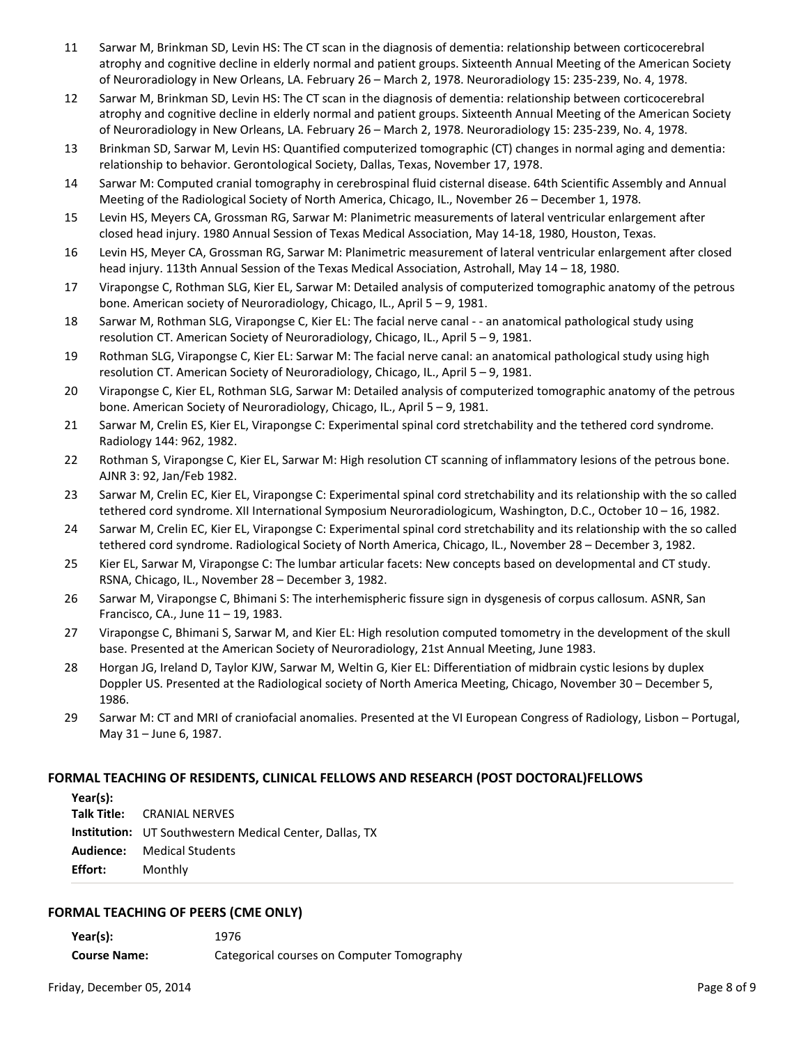- 11 Sarwar M, Brinkman SD, Levin HS: The CT scan in the diagnosis of dementia: relationship between corticocerebral atrophy and cognitive decline in elderly normal and patient groups. Sixteenth Annual Meeting of the American Society of Neuroradiology in New Orleans, LA. February 26 – March 2, 1978. Neuroradiology 15: 235-239, No. 4, 1978.
- 12 Sarwar M, Brinkman SD, Levin HS: The CT scan in the diagnosis of dementia: relationship between corticocerebral atrophy and cognitive decline in elderly normal and patient groups. Sixteenth Annual Meeting of the American Society of Neuroradiology in New Orleans, LA. February 26 – March 2, 1978. Neuroradiology 15: 235-239, No. 4, 1978.
- 13 Brinkman SD, Sarwar M, Levin HS: Quantified computerized tomographic (CT) changes in normal aging and dementia: relationship to behavior. Gerontological Society, Dallas, Texas, November 17, 1978.
- 14 Sarwar M: Computed cranial tomography in cerebrospinal fluid cisternal disease. 64th Scientific Assembly and Annual Meeting of the Radiological Society of North America, Chicago, IL., November 26 – December 1, 1978.
- 15 Levin HS, Meyers CA, Grossman RG, Sarwar M: Planimetric measurements of lateral ventricular enlargement after closed head injury. 1980 Annual Session of Texas Medical Association, May 14-18, 1980, Houston, Texas.
- 16 Levin HS, Meyer CA, Grossman RG, Sarwar M: Planimetric measurement of lateral ventricular enlargement after closed head injury. 113th Annual Session of the Texas Medical Association, Astrohall, May 14 – 18, 1980.
- 17 Virapongse C, Rothman SLG, Kier EL, Sarwar M: Detailed analysis of computerized tomographic anatomy of the petrous bone. American society of Neuroradiology, Chicago, IL., April 5 – 9, 1981.
- 18 Sarwar M, Rothman SLG, Virapongse C, Kier EL: The facial nerve canal - an anatomical pathological study using resolution CT. American Society of Neuroradiology, Chicago, IL., April 5 – 9, 1981.
- 19 Rothman SLG, Virapongse C, Kier EL: Sarwar M: The facial nerve canal: an anatomical pathological study using high resolution CT. American Society of Neuroradiology, Chicago, IL., April 5 – 9, 1981.
- 20 Virapongse C, Kier EL, Rothman SLG, Sarwar M: Detailed analysis of computerized tomographic anatomy of the petrous bone. American Society of Neuroradiology, Chicago, IL., April 5 – 9, 1981.
- 21 Sarwar M, Crelin ES, Kier EL, Virapongse C: Experimental spinal cord stretchability and the tethered cord syndrome. Radiology 144: 962, 1982.
- 22 Rothman S, Virapongse C, Kier EL, Sarwar M: High resolution CT scanning of inflammatory lesions of the petrous bone. AJNR 3: 92, Jan/Feb 1982.
- 23 Sarwar M, Crelin EC, Kier EL, Virapongse C: Experimental spinal cord stretchability and its relationship with the so called tethered cord syndrome. XII International Symposium Neuroradiologicum, Washington, D.C., October 10 – 16, 1982.
- 24 Sarwar M, Crelin EC, Kier EL, Virapongse C: Experimental spinal cord stretchability and its relationship with the so called tethered cord syndrome. Radiological Society of North America, Chicago, IL., November 28 – December 3, 1982.
- 25 Kier EL, Sarwar M, Virapongse C: The lumbar articular facets: New concepts based on developmental and CT study. RSNA, Chicago, IL., November 28 – December 3, 1982.
- 26 Sarwar M, Virapongse C, Bhimani S: The interhemispheric fissure sign in dysgenesis of corpus callosum. ASNR, San Francisco, CA., June 11 – 19, 1983.
- 27 Virapongse C, Bhimani S, Sarwar M, and Kier EL: High resolution computed tomometry in the development of the skull base. Presented at the American Society of Neuroradiology, 21st Annual Meeting, June 1983.
- 28 Horgan JG, Ireland D, Taylor KJW, Sarwar M, Weltin G, Kier EL: Differentiation of midbrain cystic lesions by duplex Doppler US. Presented at the Radiological society of North America Meeting, Chicago, November 30 – December 5, 1986.
- 29 Sarwar M: CT and MRI of craniofacial anomalies. Presented at the VI European Congress of Radiology, Lisbon Portugal, May 31 – June 6, 1987.

#### **FORMAL TEACHING OF RESIDENTS, CLINICAL FELLOWS AND RESEARCH (POST DOCTORAL)FELLOWS**

| Year(s): |                                                                |
|----------|----------------------------------------------------------------|
|          | <b>Talk Title: CRANIAL NERVES</b>                              |
|          | <b>Institution:</b> UT Southwestern Medical Center, Dallas, TX |
|          | <b>Audience:</b> Medical Students                              |
| Effort:  | Monthly                                                        |

#### **FORMAL TEACHING OF PEERS (CME ONLY)**

**Year(s):** 1976

**Course Name:** Categorical courses on Computer Tomography